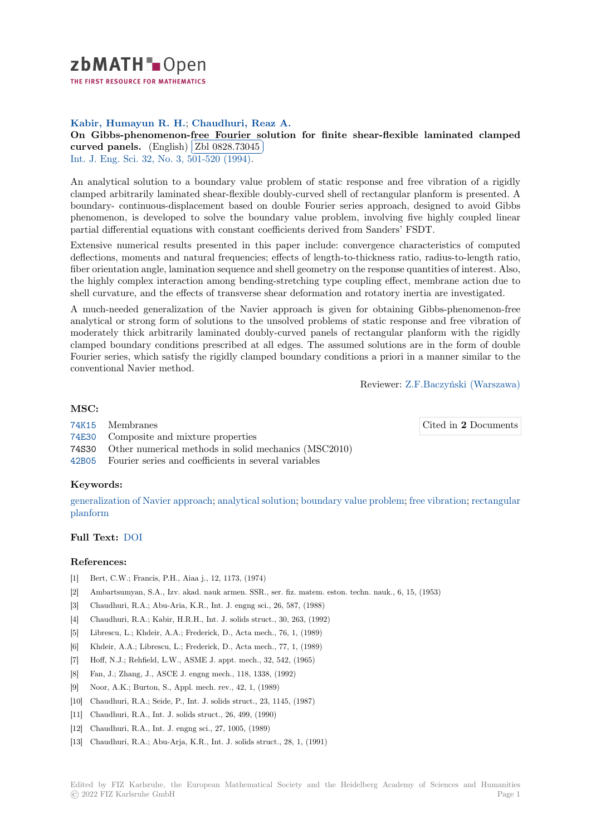

THE FIRST RESOURCE FOR MATHEMATICS

# **Kabir, Humayun R. H.**; **Chaudhuri, Reaz A.**

[O](https://zbmath.org/)n Gibbs-phenomenon-free Fourier solution for finite shear-flexible laminated clamped **curved panels.** (English) Zbl 0828.73045 Į.

Int. J. Eng. Sci. 32, No. 3, 501-520 (1994).

[An analytical solution to a boundary value problem of static response and free vibration of a rigidly](https://zbmath.org/0828.73045) [clamped arbitrar](https://zbmath.org/0828.73045)ily laminat[ed shear-flexible d](https://zbmath.org/0828.73045)oubly-curved shell of rectangular planform is presented. A [boundary- conti](https://zbmath.org/journals/?q=se:96)[nuous-displacement based](https://zbmath.org/?q=in:18360) on double Fourier series approach, designed to avoid Gibbs phenomenon, is developed to solve the boundary value problem, involving five highly coupled linear partial differential equations with constant coefficients derived from Sanders' FSDT.

Extensive numerical results presented in this paper include: convergence characteristics of computed deflections, moments and natural frequencies; effects of length-to-thickness ratio, radius-to-length ratio, fiber orientation angle, lamination sequence and shell geometry on the response quantities of interest. Also, the highly complex interaction among bending-stretching type coupling effect, membrane action due to shell curvature, and the effects of transverse shear deformation and rotatory inertia are investigated.

A much-needed generalization of the Navier approach is given for obtaining Gibbs-phenomenon-free analytical or strong form of solutions to the unsolved problems of static response and free vibration of moderately thick arbitrarily laminated doubly-curved panels of rectangular planform with the rigidly clamped boundary conditions prescribed at all edges. The assumed solutions are in the form of double Fourier series, which satisfy the rigidly clamped boundary conditions a priori in a manner similar to the conventional Navier method.

Reviewer: Z.F.Baczyński (Warszawa)

## **MSC:**

Cited in **2** [Documents](https://zbmath.org/authors/?q=baczynski.zbigniew-f)

- 74K15 Membranes
- 74E30 Composite and mixture properties
- 74S30 Other numerical methods in solid mechanics (MSC2010)
- 42B05 Fourier series and coefficients in several variables

### **[Keyw](https://zbmath.org/classification/?q=cc:74E30)ords:**

generalization of Navier approach; analytical solution; boundary value problem; free vibration; rectangular [planfo](https://zbmath.org/classification/?q=cc:42B05)rm

### **Full Text:** DOI

### **[Referenc](https://zbmath.org/?q=ut:rectangular+planform)es:**

- [1] Bert, C.W.; Francis, P.H., Aiaa j., 12, 1173, (1974)
- [2] Ambarts[umyan](https://dx.doi.org/10.1016/0020-7225(94)90137-6), S.A., Izv. akad. nauk armen. SSR., ser. fiz. matem. eston. techn. nauk., 6, 15, (1953)
- [3] Chaudhuri, R.A.; Abu-Aria, K.R., Int. J. engng sci., 26, 587, (1988)
- [4] Chaudhuri, R.A.; Kabir, H.R.H., Int. J. solids struct., 30, 263, (1992)
- [5] Librescu, L.; Khdeir, A.A.; Frederick, D., Acta mech., 76, 1, (1989)
- [6] Khdeir, A.A.; Librescu, L.; Frederick, D., Acta mech., 77, 1, (1989)
- [7] Hoff, N.J.; Rehfield, L.W., ASME J. appt. mech., 32, 542, (1965)
- [8] Fan, J.; Zhang, J., ASCE J. engng mech., 118, 1338, (1992)
- [9] Noor, A.K.; Burton, S., Appl. mech. rev., 42, 1, (1989)
- [10] Chaudhuri, R.A.; Seide, P., Int. J. solids struct., 23, 1145, (1987)
- [11] Chaudhuri, R.A., Int. J. solids struct., 26, 499, (1990)
- [12] Chaudhuri, R.A., Int. J. engng sci., 27, 1005, (1989)
- [13] Chaudhuri, R.A.; Abu-Arja, K.R., Int. J. solids struct., 28, 1, (1991)